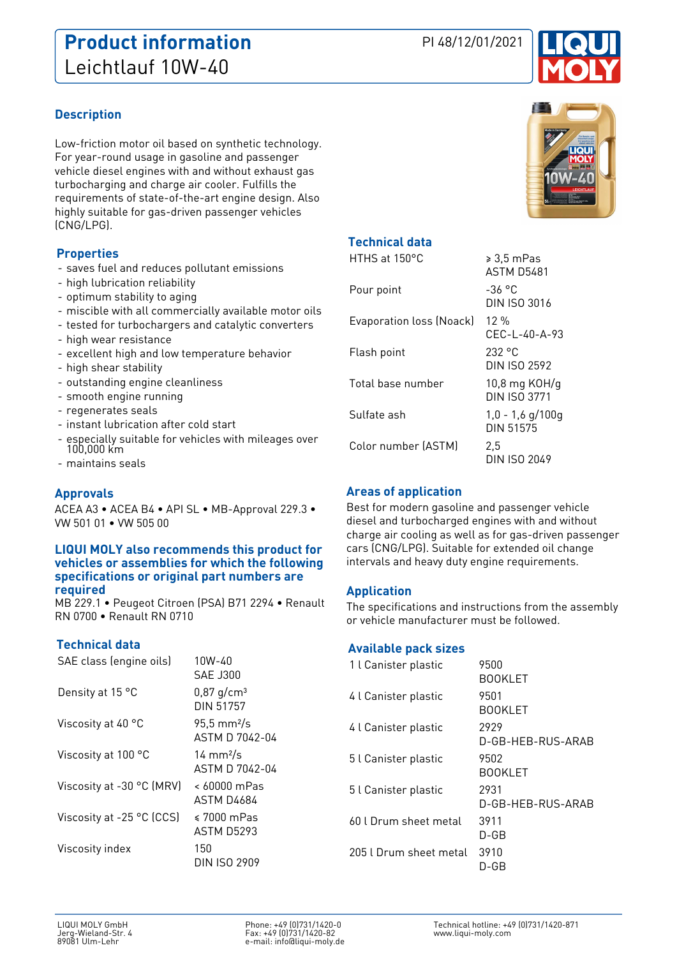# **Product information** PI 48/12/01/2021 Leichtlauf 10W-40



## **Description**

Low-friction motor oil based on synthetic technology. For year-round usage in gasoline and passenger vehicle diesel engines with and without exhaust gas turbocharging and charge air cooler. Fulfills the requirements of state-of-the-art engine design. Also highly suitable for gas-driven passenger vehicles (CNG/LPG).

## **Properties**

- saves fuel and reduces pollutant emissions
- high lubrication reliability
- optimum stability to aging
- miscible with all commercially available motor oils
- tested for turbochargers and catalytic converters
- high wear resistance
- excellent high and low temperature behavior
- high shear stability
- outstanding engine cleanliness
- smooth engine running
- regenerates seals
- instant lubrication after cold start
- especially suitable for vehicles with mileages over 100,000 km
- maintains seals

## **Approvals**

ACEA A3 • ACEA B4 • API SL • MB-Approval 229.3 • VW 501 01 • VW 505 00

#### **LIQUI MOLY also recommends this product for vehicles or assemblies for which the following specifications or original part numbers are required**

MB 229.1 • Peugeot Citroen (PSA) B71 2294 • Renault RN 0700 • Renault RN 0710

## **Technical data**

| SAE class (engine oils)   | 10W-40<br>SAF J300                             |
|---------------------------|------------------------------------------------|
| Density at 15 °C          | $0,87$ g/cm <sup>3</sup><br>DIN 51757          |
| Viscosity at 40 °C        | $95,5 \text{ mm}^2/\text{s}$<br>ASTM D 7042-04 |
| Viscosity at 100 °C       | $14 \text{ mm}^2$ /s<br>ASTM D 7042-04         |
| Viscosity at -30 °C (MRV) | $< 60000$ mPas<br>ASTM D4684                   |
| Viscosity at -25 °C (CCS) | $\leq 7000$ mPas<br><b>ASTM D5293</b>          |
| Viscosity index           | 150<br>DIN ISO 2909                            |



## **Technical data**

| HTHS at 150°C            | $\geqslant 3.5$ mPas<br><b>ASTM D5481</b> |
|--------------------------|-------------------------------------------|
| Pour point               | -36 °C<br>DIN ISO 3016                    |
| Evaporation loss (Noack) | 12 %<br>$CFC-I - 40 - A-93$               |
| Flash point              | 232 °C<br>DIN ISO 2592                    |
| Total base number        | $10,8$ mg KOH/g<br>DIN ISO 3771           |
| Sulfate ash              | $1,0 - 1,6$ g/100g<br>DIN 51575           |
| Color number (ASTM)      | 2.5<br>DIN ISO 2049                       |

## **Areas of application**

Best for modern gasoline and passenger vehicle diesel and turbocharged engines with and without charge air cooling as well as for gas-driven passenger cars (CNG/LPG). Suitable for extended oil change intervals and heavy duty engine requirements.

## **Application**

The specifications and instructions from the assembly or vehicle manufacturer must be followed.

#### **Available pack sizes**

| 1 l Canister plastic   | 9500<br><b>BOOKLET</b>    |
|------------------------|---------------------------|
| 4 l Canister plastic   | 9501<br><b>BOOKLET</b>    |
| 4 l Canister plastic   | 2929<br>D-GB-HEB-RUS-ARAB |
| 5 l Canister plastic   | 9502<br><b>BOOKLET</b>    |
| 5 l Canister plastic   | 2931<br>D-GB-HEB-RUS-ARAB |
| 60 l Drum sheet metal  | 3911<br>D-GB              |
| 205   Drum sheet metal | 3910<br>D-GB              |